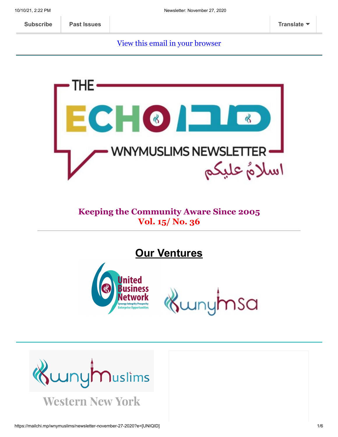[View this email in your browser](https://mailchi.mp/wnymuslims/newsletter-november-27-2020?e=[UNIQID])



#### **Keeping the Community Aware Since 2005 Vol. 15/ No. 36**

**Our Ventures**



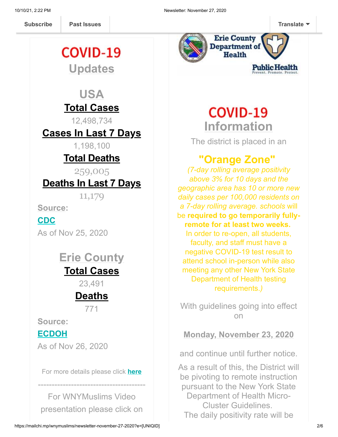**Past Issues [Subscribe](http://eepurl.com/b19N3D) Past Issues [Translate](javascript:;)**

# **COVID-19 Updates**

# **USA Total Cases**

12,498,734

## **Cases In Last 7 Days**

1,198,100

# **Total Deaths**

259,005

### **Deaths In Last 7 Days**

11,179

**Source:**

#### **[CDC](https://covid.cdc.gov/covid-data-tracker/?CDC_AA_refVal=https%3A%2F%2Fwww.cdc.gov%2Fcoronavirus%2F2019-ncov%2Fcases-updates%2Fcases-in-us.html#cases_casesinlast7days)**

As of Nov 25, 2020

# **Erie County Total Cases**

23,491

# **Deaths**

771

**Source:**

#### **[ECDOH](https://wnymuslims.us13.list-manage.com/track/click?u=19ed6f05ad8527220a10faa63&id=249ef8f8f9&e=375b9d9dab)**

As of Nov 26, 2020

For more details please click **[here](https://wnymuslims.org/event/covid-19-updates/)**

---------------------------------------

For WNYMuslims Video presentation please click on



# **COVID-19 Information**

The district is placed in an

# **"Orange Zone"**

*(7-day rolling average positivity above 3% for 10 days and the geographic area has 10 or more new daily cases per 100,000 residents on a 7-day rolling average. schools* will be **required to go temporarily fullyremote for at least two weeks.** In order to re-open, all students, faculty, and staff must have a negative COVID-19 test result to attend school in-person while also meeting any other New York State Department of Health testing requirements.*)*

With guidelines going into effect on

**Monday, November 23, 2020**

and continue until further notice.

As a result of this, the District will be pivoting to remote instruction pursuant to the New York State Department of Health Micro-Cluster Guidelines. The daily positivity rate will be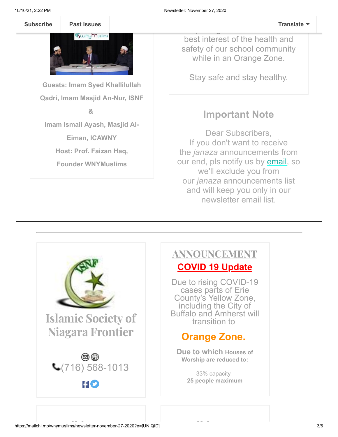

**Guests: Imam Syed Khallilullah Qadri, Imam Masjid An-Nur, ISNF &**

**Imam Ismail Ayash, Masjid Al-**

**Eiman, ICAWNY**

**Host: Prof. Faizan Haq,**

**Founder WNYMuslims**

best interest of the health and safety of our school community while in an Orange Zone.

Stay safe and stay healthy.

# **Important Note**

Dear Subscribers, If you don't want to receive the *janaza* announcements from our end, pls notify us by **email**, so we'll exclude you from our *janaza* announcements list and will keep you only in our newsletter email list.



### ANNOUNCEMENT **COVID 19 Update**

Due to rising COVID-19 cases parts of Erie County's Yellow Zone, including the City of Buffalo and Amherst will transition to

# **Orange Zone.**

**Due to which Houses of Worship are reduced to:**

> 33% capacity, **25 people maximum**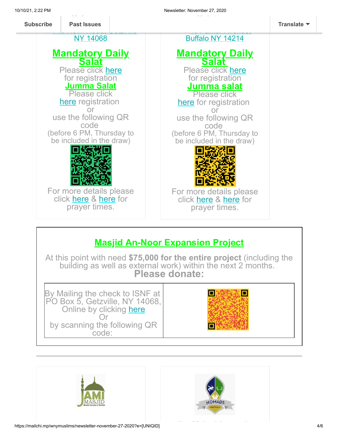

# **Masjid An-Noor Expansion Project**

At this point with need **\$75,000 for the entire project** (including the building as well as external work) within the next 2 months. **Please donate:**





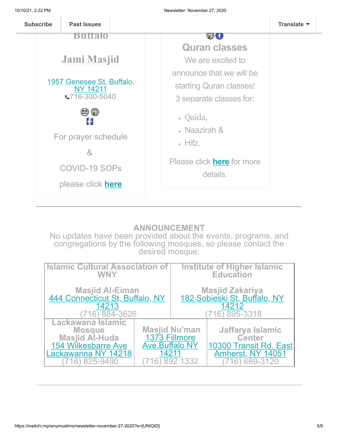

#### **ANNOUNCEMENT**

No updates have been provided about the events, programs, and congregations by the following mosques, so please contact the desired mosque:

| <b>Islamic Cultural Association of</b><br><b>WNY</b>                                                                  |                                                 | <b>Institute of Higher Islamic</b><br><b>Education</b>                      |                                                                                                     |
|-----------------------------------------------------------------------------------------------------------------------|-------------------------------------------------|-----------------------------------------------------------------------------|-----------------------------------------------------------------------------------------------------|
| <b>Masjid Al-Eiman</b><br>444 Connecticut St, Buffalo, NY<br>14213<br>884-3626                                        |                                                 | Masjid Zakariya<br><u>182 Sobieski St, Buffalo, NY</u><br>14212<br>895-3318 |                                                                                                     |
| Lackawana Islamic<br><b>Mosque</b><br><b>Masjid Al-Huda</b><br>154 Wilkesbarre Ave<br>Lackawanna NY 14218<br>825-9490 | 1373 Fillmore<br><b>Ave.Buffalo NY</b><br>14211 | <b>Masjid Nu'man</b><br>332                                                 | Jaffarya Islamic<br><b>Center</b><br>10300 Transit Rd. East<br><b>Amherst, NY 14051</b><br>689-3120 |